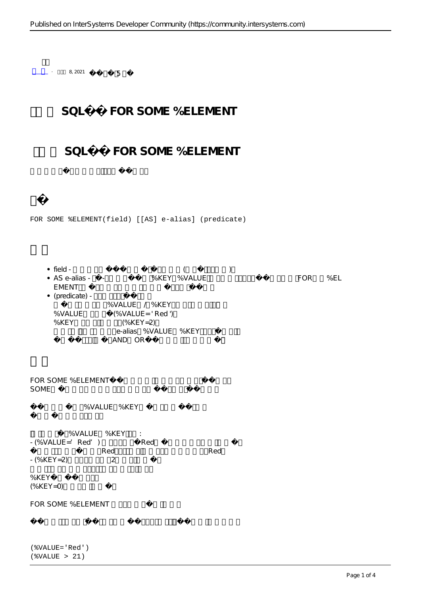$+$  8, 2021 5

## SQL FOR SOME %ELEMENT

SOL FOR SOME %ELEMENT

## FOR SOME %ELEMENT(field) [[AS] e-alias] (predicate)

 $field ($ • AS e-alias - The manuscript of the MCKEY %VALUE The manuscript of the manuscript of the MCL EMENT  $\bullet$  (predicate) -%VALUE / %KEY %VALUE  $% VALUE = ' Red')$ <br>%KEY  $% KEY = 2$  $(% K EY = 2)$ e-alias %VALUE %KEY AND OR FOR SOME %ELEMENT  $SOME$ %VALUE %KEY %VALUE %KEY :  $-$  (%VALUE = 'Red') Red 该字段可以只包含单个元素Red,也可以包含多个元素,其中一个元素是Red。  $-$  (% K E Y = 2) 2 %KFY  $(% K EY = 0)$ FOR SOME %ELEMENT (%VALUE='Red') (%VALUE > 21)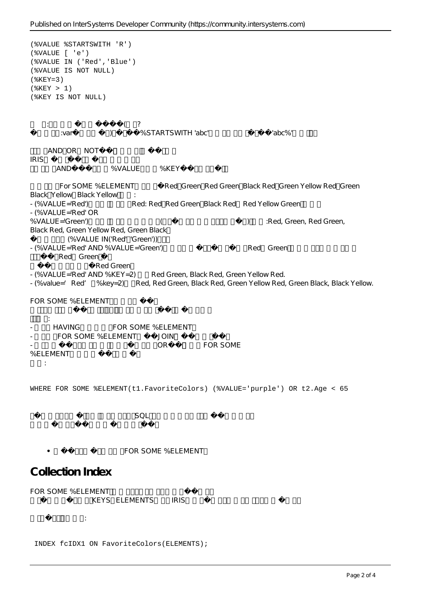(%VALUE %STARTSWITH 'R') (%VALUE [ 'e') (%VALUE IN ('Red','Blue') (%VALUE IS NOT NULL) (%KEY=3) (%KEY > 1) (%KEY IS NOT NULL) 注意:当在运行时提供谓词值时(使用? :var %STARTSWITH 'abc' AND OR NOT **IRIS** AND %VALUE %KEY For SOME %ELEMENT Red Green Red Green Black Red Green Yellow Red Green Black Yellow Black Yellow - (%VALUE='Red') Red: Red Red Green Black Red Red Yellow Green - (%VALUE='Red' OR %VALUE='Green') (Computer of the control of the control of the control of the control of the control of the control of the control of the control of the control of the control of the control of the control of the control o Black Red, Green Yellow Red, Green Black。 (%VALUE IN('Red' 'Green')) - (%VALUE='Red' AND %VALUE='Green')不匹配字段值,因为它同时匹配Red和Green的每个元素,并且没有元素 Red Green Red Green - (%VALUE='Red' AND %KEY=2) Red Green, Black Red, Green Yellow Red. - (%value='Red' %key=2) Red, Red Green, Black Red, Green Yellow Red, Green Black, Black Yellow. FOR SOME %FIFMENT 受以下限制: HAVING FOR SOME %FI FMENT FOR SOME %ELEMENT JOIN OR FOR SOME %FIFMFNT 例如: WHERE FOR SOME %ELEMENT(t1.FavoriteColors) (%VALUE='purple') OR t2.Age < 65  $SQL$ FOR SOME %ELEMENT **Collection Index** FOR SOME %ELEMENT KEYS FIFMENTS IRIS 如果定义了以下集合索引:

INDEX fcIDX1 ON FavoriteColors(ELEMENTS);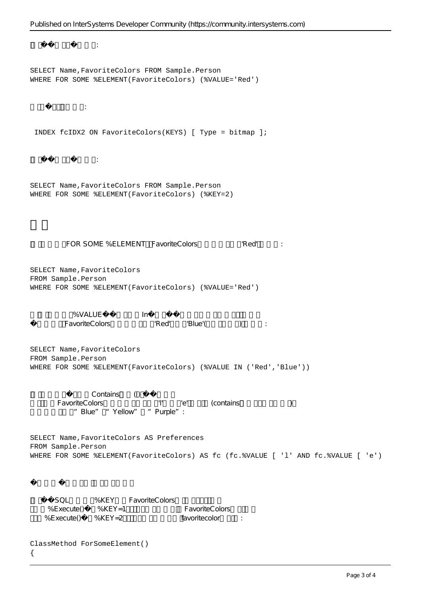下面的查询使用了这个索引:

SELECT Name,FavoriteColors FROM Sample.Person WHERE FOR SOME %ELEMENT(FavoriteColors) (%VALUE='Red') 如果定义了以下集合索引: INDEX fcIDX2 ON FavoriteColors(KEYS) [ Type = bitmap ]; 下面的查询使用了这个索引: SELECT Name,FavoriteColors FROM Sample.Person WHERE FOR SOME %ELEMENT(FavoriteColors) (%KEY=2) 下面的示例使用FOR SOME %ELEMENT返回FavoriteColors列表中包含元素'Red'的那些行: SELECT Name,FavoriteColors FROM Sample.Person WHERE FOR SOME %ELEMENT(FavoriteColors) (%VALUE='Red')  $%VALUE$  In 这个例子返回FavoriteColors列表中包含元素'Red'或元素'Blue'(或两者都包含)的那些行: SELECT Name,FavoriteColors FROM Sample.Person WHERE FOR SOME %ELEMENT(FavoriteColors) (%VALUE IN ('Red','Blue')) Contains ([) FavoriteColors T'l'e' (contains) "Blue" "Yellow" "Purple": SELECT Name,FavoriteColors AS Preferences FROM Sample.Person WHERE FOR SOME %ELEMENT(FavoriteColors) AS fc (fc.%VALUE [ 'l' AND fc.%VALUE [ 'e') SQL %KEY FavoriteColors

 $%$  Execute()  $%$ KEY=1 FavoriteColors %Execute() %KEY=2 favoritecolor :

ClassMethod ForSomeElement() {